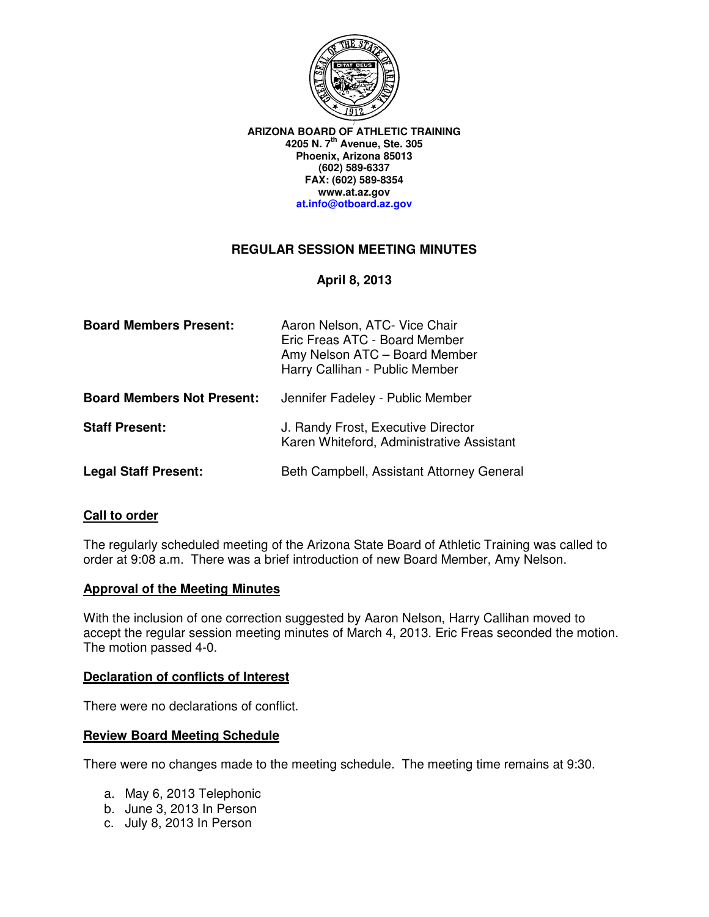

**ARIZONA BOARD OF ATHLETIC TRAINING 4205 N. 7th Avenue, Ste. 305 Phoenix, Arizona 85013 (602) 589-6337 FAX: (602) 589-8354 www.at.az.gov at.info@otboard.az.gov**

# **REGULAR SESSION MEETING MINUTES**

**April 8, 2013** 

| <b>Board Members Present:</b>     | Aaron Nelson, ATC- Vice Chair<br>Eric Freas ATC - Board Member<br>Amy Nelson ATC - Board Member<br>Harry Callihan - Public Member |
|-----------------------------------|-----------------------------------------------------------------------------------------------------------------------------------|
| <b>Board Members Not Present:</b> | Jennifer Fadeley - Public Member                                                                                                  |
| <b>Staff Present:</b>             | J. Randy Frost, Executive Director<br>Karen Whiteford, Administrative Assistant                                                   |
| <b>Legal Staff Present:</b>       | Beth Campbell, Assistant Attorney General                                                                                         |

## **Call to order**

The regularly scheduled meeting of the Arizona State Board of Athletic Training was called to order at 9:08 a.m. There was a brief introduction of new Board Member, Amy Nelson.

### **Approval of the Meeting Minutes**

With the inclusion of one correction suggested by Aaron Nelson, Harry Callihan moved to accept the regular session meeting minutes of March 4, 2013. Eric Freas seconded the motion. The motion passed 4-0.

### **Declaration of conflicts of Interest**

There were no declarations of conflict.

### **Review Board Meeting Schedule**

There were no changes made to the meeting schedule. The meeting time remains at 9:30.

- a. May 6, 2013 Telephonic
- b. June 3, 2013 In Person
- c. July 8, 2013 In Person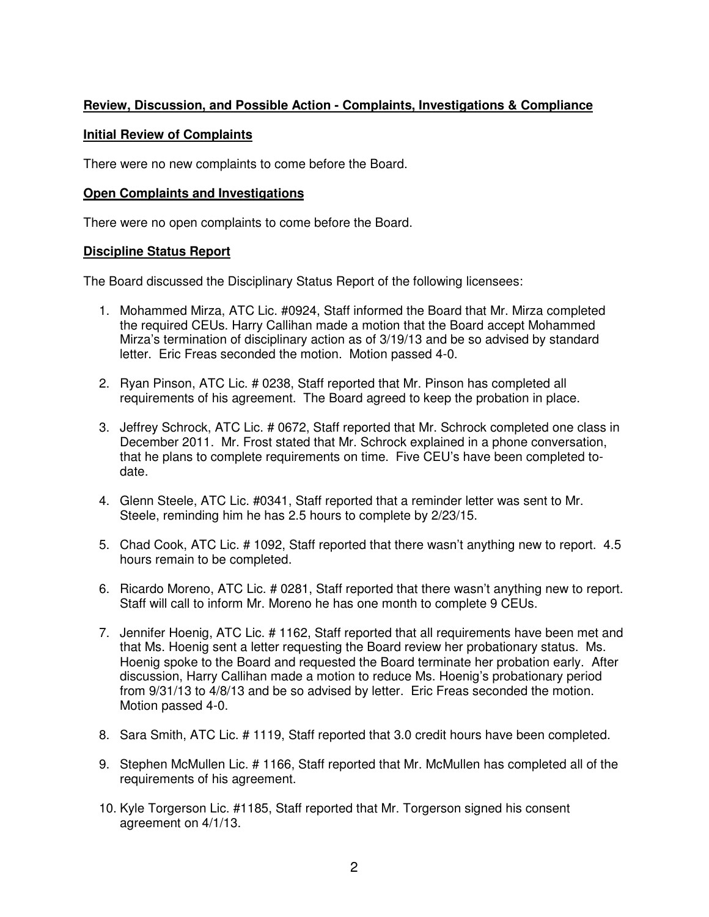# **Review, Discussion, and Possible Action - Complaints, Investigations & Compliance**

## **Initial Review of Complaints**

There were no new complaints to come before the Board.

## **Open Complaints and Investigations**

There were no open complaints to come before the Board.

## **Discipline Status Report**

The Board discussed the Disciplinary Status Report of the following licensees:

- 1. Mohammed Mirza, ATC Lic. #0924, Staff informed the Board that Mr. Mirza completed the required CEUs. Harry Callihan made a motion that the Board accept Mohammed Mirza's termination of disciplinary action as of 3/19/13 and be so advised by standard letter. Eric Freas seconded the motion. Motion passed 4-0.
- 2. Ryan Pinson, ATC Lic. # 0238, Staff reported that Mr. Pinson has completed all requirements of his agreement. The Board agreed to keep the probation in place.
- 3. Jeffrey Schrock, ATC Lic. # 0672, Staff reported that Mr. Schrock completed one class in December 2011. Mr. Frost stated that Mr. Schrock explained in a phone conversation, that he plans to complete requirements on time. Five CEU's have been completed todate.
- 4. Glenn Steele, ATC Lic. #0341, Staff reported that a reminder letter was sent to Mr. Steele, reminding him he has 2.5 hours to complete by 2/23/15.
- 5. Chad Cook, ATC Lic. # 1092, Staff reported that there wasn't anything new to report. 4.5 hours remain to be completed.
- 6. Ricardo Moreno, ATC Lic. # 0281, Staff reported that there wasn't anything new to report. Staff will call to inform Mr. Moreno he has one month to complete 9 CEUs.
- 7. Jennifer Hoenig, ATC Lic. # 1162, Staff reported that all requirements have been met and that Ms. Hoenig sent a letter requesting the Board review her probationary status. Ms. Hoenig spoke to the Board and requested the Board terminate her probation early. After discussion, Harry Callihan made a motion to reduce Ms. Hoenig's probationary period from 9/31/13 to 4/8/13 and be so advised by letter. Eric Freas seconded the motion. Motion passed 4-0.
- 8. Sara Smith, ATC Lic. # 1119, Staff reported that 3.0 credit hours have been completed.
- 9. Stephen McMullen Lic. # 1166, Staff reported that Mr. McMullen has completed all of the requirements of his agreement.
- 10. Kyle Torgerson Lic. #1185, Staff reported that Mr. Torgerson signed his consent agreement on 4/1/13.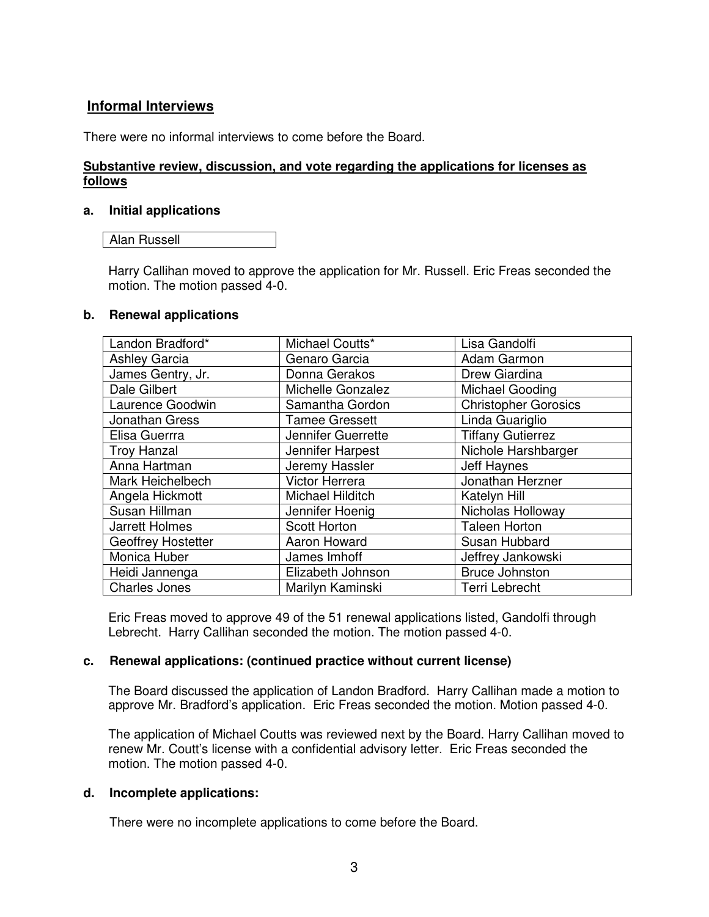# **Informal Interviews**

There were no informal interviews to come before the Board.

## **Substantive review, discussion, and vote regarding the applications for licenses as follows**

## **a. Initial applications**

## Alan Russell

Harry Callihan moved to approve the application for Mr. Russell. Eric Freas seconded the motion. The motion passed 4-0.

### **b. Renewal applications**

| Landon Bradford*      | Michael Coutts*       | Lisa Gandolfi               |
|-----------------------|-----------------------|-----------------------------|
| <b>Ashley Garcia</b>  | Genaro Garcia         | Adam Garmon                 |
| James Gentry, Jr.     | Donna Gerakos         | Drew Giardina               |
| Dale Gilbert          | Michelle Gonzalez     | <b>Michael Gooding</b>      |
| Laurence Goodwin      | Samantha Gordon       | <b>Christopher Gorosics</b> |
| <b>Jonathan Gress</b> | <b>Tamee Gressett</b> | Linda Guariglio             |
| Elisa Guerrra         | Jennifer Guerrette    | <b>Tiffany Gutierrez</b>    |
| <b>Troy Hanzal</b>    | Jennifer Harpest      | Nichole Harshbarger         |
| Anna Hartman          | Jeremy Hassler        | Jeff Haynes                 |
| Mark Heichelbech      | <b>Victor Herrera</b> | Jonathan Herzner            |
| Angela Hickmott       | Michael Hilditch      | Katelyn Hill                |
| Susan Hillman         | Jennifer Hoenig       | Nicholas Holloway           |
| Jarrett Holmes        | <b>Scott Horton</b>   | <b>Taleen Horton</b>        |
| Geoffrey Hostetter    | Aaron Howard          | Susan Hubbard               |
| Monica Huber          | James Imhoff          | Jeffrey Jankowski           |
| Heidi Jannenga        | Elizabeth Johnson     | <b>Bruce Johnston</b>       |
| <b>Charles Jones</b>  | Marilyn Kaminski      | <b>Terri Lebrecht</b>       |

Eric Freas moved to approve 49 of the 51 renewal applications listed, Gandolfi through Lebrecht. Harry Callihan seconded the motion. The motion passed 4-0.

### **c. Renewal applications: (continued practice without current license)**

The Board discussed the application of Landon Bradford. Harry Callihan made a motion to approve Mr. Bradford's application. Eric Freas seconded the motion. Motion passed 4-0.

The application of Michael Coutts was reviewed next by the Board. Harry Callihan moved to renew Mr. Coutt's license with a confidential advisory letter. Eric Freas seconded the motion. The motion passed 4-0.

### **d. Incomplete applications:**

There were no incomplete applications to come before the Board.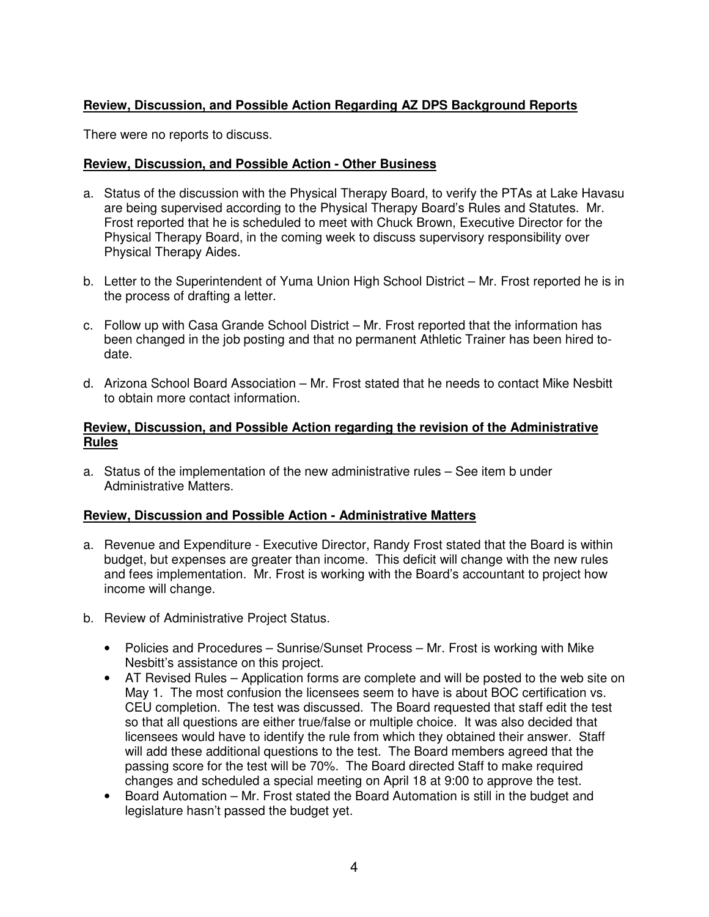# **Review, Discussion, and Possible Action Regarding AZ DPS Background Reports**

There were no reports to discuss.

# **Review, Discussion, and Possible Action - Other Business**

- a. Status of the discussion with the Physical Therapy Board, to verify the PTAs at Lake Havasu are being supervised according to the Physical Therapy Board's Rules and Statutes. Mr. Frost reported that he is scheduled to meet with Chuck Brown, Executive Director for the Physical Therapy Board, in the coming week to discuss supervisory responsibility over Physical Therapy Aides.
- b. Letter to the Superintendent of Yuma Union High School District Mr. Frost reported he is in the process of drafting a letter.
- c. Follow up with Casa Grande School District Mr. Frost reported that the information has been changed in the job posting and that no permanent Athletic Trainer has been hired todate.
- d. Arizona School Board Association Mr. Frost stated that he needs to contact Mike Nesbitt to obtain more contact information.

## **Review, Discussion, and Possible Action regarding the revision of the Administrative Rules**

a. Status of the implementation of the new administrative rules – See item b under Administrative Matters.

## **Review, Discussion and Possible Action - Administrative Matters**

- a. Revenue and Expenditure Executive Director, Randy Frost stated that the Board is within budget, but expenses are greater than income. This deficit will change with the new rules and fees implementation. Mr. Frost is working with the Board's accountant to project how income will change.
- b. Review of Administrative Project Status.
	- Policies and Procedures Sunrise/Sunset Process Mr. Frost is working with Mike Nesbitt's assistance on this project.
	- AT Revised Rules Application forms are complete and will be posted to the web site on May 1. The most confusion the licensees seem to have is about BOC certification vs. CEU completion. The test was discussed. The Board requested that staff edit the test so that all questions are either true/false or multiple choice. It was also decided that licensees would have to identify the rule from which they obtained their answer. Staff will add these additional questions to the test. The Board members agreed that the passing score for the test will be 70%. The Board directed Staff to make required changes and scheduled a special meeting on April 18 at 9:00 to approve the test.
	- Board Automation Mr. Frost stated the Board Automation is still in the budget and legislature hasn't passed the budget yet.